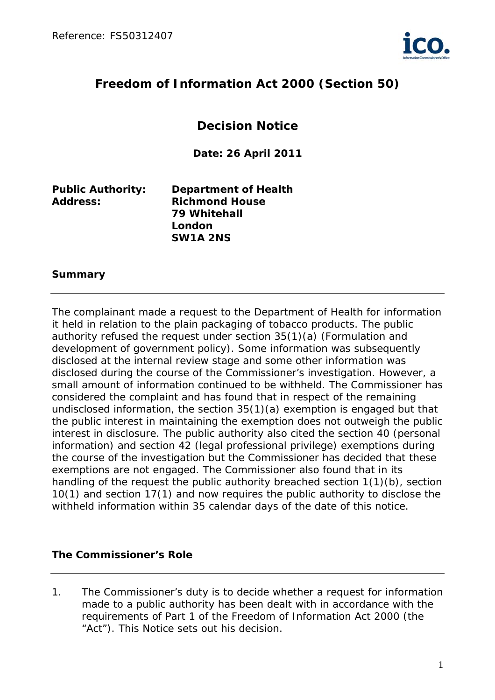

# **Freedom of Information Act 2000 (Section 50)**

# **Decision Notice**

**Date: 26 April 2011**

| <b>Public Authority:</b> | <b>Department of Health</b> |
|--------------------------|-----------------------------|
| <b>Address:</b>          | <b>Richmond House</b>       |
|                          | 79 Whitehall                |
|                          | London                      |
|                          | SW1A 2NS                    |

#### **Summary**

The complainant made a request to the Department of Health for information it held in relation to the plain packaging of tobacco products. The public authority refused the request under section 35(1)(a) (Formulation and development of government policy). Some information was subsequently disclosed at the internal review stage and some other information was disclosed during the course of the Commissioner's investigation. However, a small amount of information continued to be withheld. The Commissioner has considered the complaint and has found that in respect of the remaining undisclosed information, the section 35(1)(a) exemption is engaged but that the public interest in maintaining the exemption does not outweigh the public interest in disclosure. The public authority also cited the section 40 (personal information) and section 42 (legal professional privilege) exemptions during the course of the investigation but the Commissioner has decided that these exemptions are not engaged. The Commissioner also found that in its handling of the request the public authority breached section 1(1)(b), section 10(1) and section 17(1) and now requires the public authority to disclose the withheld information within 35 calendar days of the date of this notice.

#### **The Commissioner's Role**

1. The Commissioner's duty is to decide whether a request for information made to a public authority has been dealt with in accordance with the requirements of Part 1 of the Freedom of Information Act 2000 (the "Act"). This Notice sets out his decision.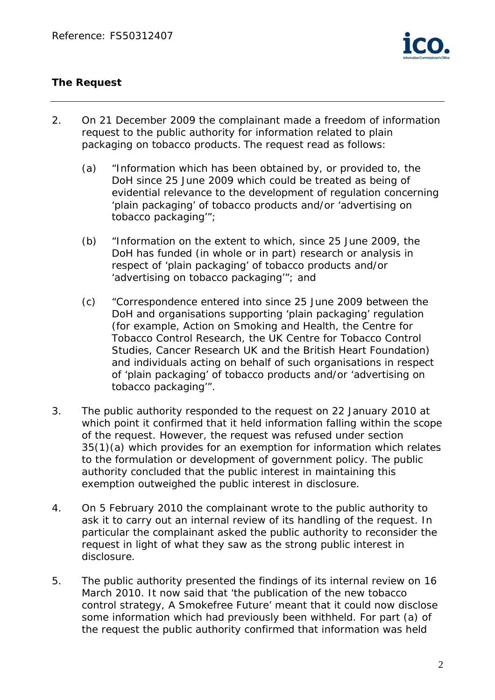

## **The Request**

- 2. On 21 December 2009 the complainant made a freedom of information request to the public authority for information related to plain packaging on tobacco products. The request read as follows:
	- (a) "Information which has been obtained by, or provided to, the DoH since 25 June 2009 which could be treated as being of evidential relevance to the development of regulation concerning 'plain packaging' of tobacco products and/or *'advertising on tobacco packaging'*";
	- (b) "Information on the extent to which, since 25 June 2009, the DoH has funded (in whole or in part) research or analysis in respect of 'plain packaging' of tobacco products and/or *'advertising on tobacco packaging'*"; and
	- (c) "Correspondence entered into since 25 June 2009 between the DoH and organisations supporting 'plain packaging' regulation (for example, Action on Smoking and Health, the Centre for Tobacco Control Research, the UK Centre for Tobacco Control Studies, Cancer Research UK and the British Heart Foundation) and individuals acting on behalf of such organisations in respect of 'plain packaging' of tobacco products and/or '*advertising on tobacco packaging'*".
- 3. The public authority responded to the request on 22 January 2010 at which point it confirmed that it held information falling within the scope of the request. However, the request was refused under section 35(1)(a) which provides for an exemption for information which relates to the formulation or development of government policy. The public authority concluded that the public interest in maintaining this exemption outweighed the public interest in disclosure.
- 4. On 5 February 2010 the complainant wrote to the public authority to ask it to carry out an internal review of its handling of the request. In particular the complainant asked the public authority to reconsider the request in light of what they saw as the strong public interest in disclosure.
- 5. The public authority presented the findings of its internal review on 16 March 2010. It now said that 'the publication of the new tobacco control strategy, *A Smokefree Future'* meant that it could now disclose some information which had previously been withheld. For part (a) of the request the public authority confirmed that information was held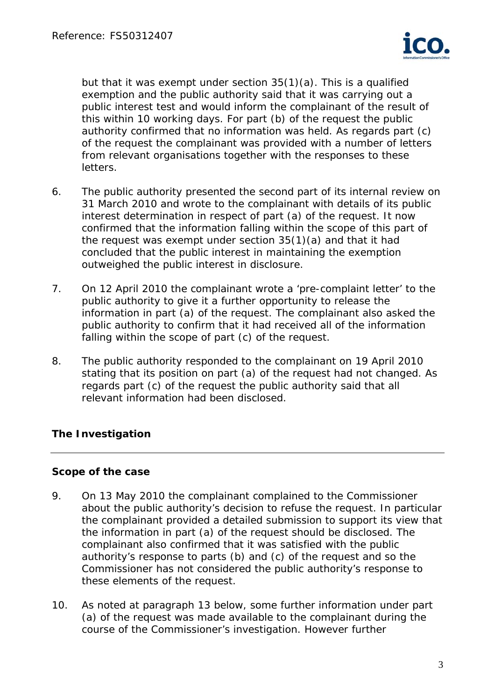

but that it was exempt under section 35(1)(a). This is a qualified exemption and the public authority said that it was carrying out a public interest test and would inform the complainant of the result of this within 10 working days. For part (b) of the request the public authority confirmed that no information was held. As regards part (c) of the request the complainant was provided with a number of letters from relevant organisations together with the responses to these letters.

- 6. The public authority presented the second part of its internal review on 31 March 2010 and wrote to the complainant with details of its public interest determination in respect of part (a) of the request. It now confirmed that the information falling within the scope of this part of the request was exempt under section 35(1)(a) and that it had concluded that the public interest in maintaining the exemption outweighed the public interest in disclosure.
- 7. On 12 April 2010 the complainant wrote a 'pre-complaint letter' to the public authority to give it a further opportunity to release the information in part (a) of the request. The complainant also asked the public authority to confirm that it had received all of the information falling within the scope of part (c) of the request.
- 8. The public authority responded to the complainant on 19 April 2010 stating that its position on part (a) of the request had not changed. As regards part (c) of the request the public authority said that all relevant information had been disclosed.

# **The Investigation**

## **Scope of the case**

- 9. On 13 May 2010 the complainant complained to the Commissioner about the public authority's decision to refuse the request. In particular the complainant provided a detailed submission to support its view that the information in part (a) of the request should be disclosed. The complainant also confirmed that it was satisfied with the public authority's response to parts (b) and (c) of the request and so the Commissioner has not considered the public authority's response to these elements of the request.
- 10. As noted at paragraph 13 below, some further information under part (a) of the request was made available to the complainant during the course of the Commissioner's investigation. However further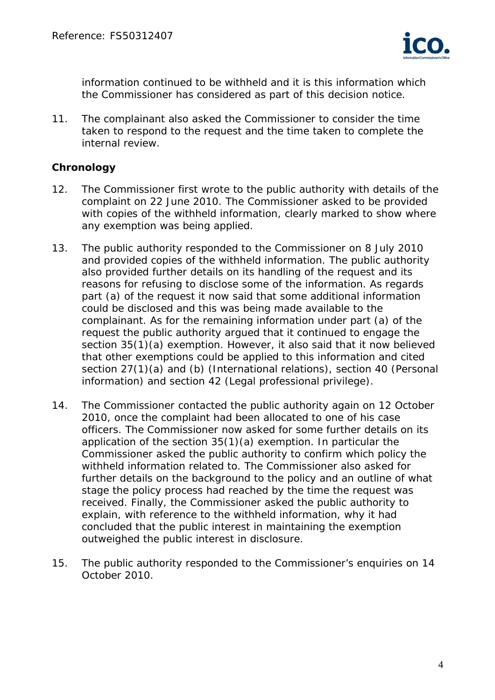

information continued to be withheld and it is this information which the Commissioner has considered as part of this decision notice.

11. The complainant also asked the Commissioner to consider the time taken to respond to the request and the time taken to complete the internal review.

#### **Chronology**

- 12. The Commissioner first wrote to the public authority with details of the complaint on 22 June 2010. The Commissioner asked to be provided with copies of the withheld information, clearly marked to show where any exemption was being applied.
- 13. The public authority responded to the Commissioner on 8 July 2010 and provided copies of the withheld information. The public authority also provided further details on its handling of the request and its reasons for refusing to disclose some of the information. As regards part (a) of the request it now said that some additional information could be disclosed and this was being made available to the complainant. As for the remaining information under part (a) of the request the public authority argued that it continued to engage the section 35(1)(a) exemption. However, it also said that it now believed that other exemptions could be applied to this information and cited section 27(1)(a) and (b) (International relations), section 40 (Personal information) and section 42 (Legal professional privilege).
- 14. The Commissioner contacted the public authority again on 12 October 2010, once the complaint had been allocated to one of his case officers. The Commissioner now asked for some further details on its application of the section 35(1)(a) exemption. In particular the Commissioner asked the public authority to confirm which policy the withheld information related to. The Commissioner also asked for further details on the background to the policy and an outline of what stage the policy process had reached by the time the request was received. Finally, the Commissioner asked the public authority to explain, with reference to the withheld information, why it had concluded that the public interest in maintaining the exemption outweighed the public interest in disclosure.
- 15. The public authority responded to the Commissioner's enquiries on 14 October 2010.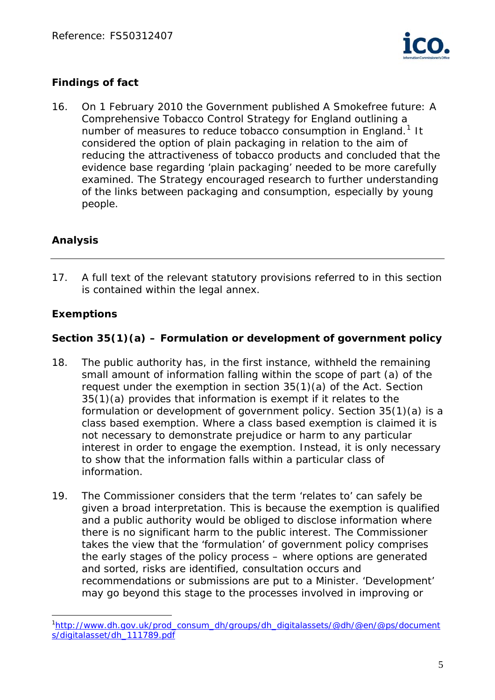

# **Findings of fact**

16. On 1 February 2010 the Government published *A Smokefree future: A Comprehensive Tobacco Control Strategy for England* outlining a number of measures to reduce tobacco consumption in England.<sup>[1](#page-4-0)</sup> It considered the option of plain packaging in relation to the aim of reducing the attractiveness of tobacco products and concluded that the evidence base regarding 'plain packaging' needed to be more carefully examined. The Strategy encouraged research to further understanding of the links between packaging and consumption, especially by young people.

# **Analysis**

17. A full text of the relevant statutory provisions referred to in this section is contained within the legal annex.

# **Exemptions**

 $\overline{a}$ 

# **Section 35(1)(a) – Formulation or development of government policy**

- 18. The public authority has, in the first instance, withheld the remaining small amount of information falling within the scope of part (a) of the request under the exemption in section 35(1)(a) of the Act. Section 35(1)(a) provides that information is exempt if it relates to the formulation or development of government policy. Section 35(1)(a) is a class based exemption. Where a class based exemption is claimed it is not necessary to demonstrate prejudice or harm to any particular interest in order to engage the exemption. Instead, it is only necessary to show that the information falls within a particular class of information.
- 19. The Commissioner considers that the term 'relates to' can safely be given a broad interpretation. This is because the exemption is qualified and a public authority would be obliged to disclose information where there is no significant harm to the public interest. The Commissioner takes the view that the 'formulation' of government policy comprises the early stages of the policy process – where options are generated and sorted, risks are identified, consultation occurs and recommendations or submissions are put to a Minister. 'Development' may go beyond this stage to the processes involved in improving or

<span id="page-4-0"></span><sup>&</sup>lt;sup>1</sup>[http://www.dh.gov.uk/prod\\_consum\\_dh/groups/dh\\_digitalassets/@dh/@en/@ps/document](http://www.dh.gov.uk/prod_consum_dh/groups/dh_digitalassets/@dh/@en/@ps/documents/digitalasset/dh_111789.pdf) [s/digitalasset/dh\\_111789.pdf](http://www.dh.gov.uk/prod_consum_dh/groups/dh_digitalassets/@dh/@en/@ps/documents/digitalasset/dh_111789.pdf)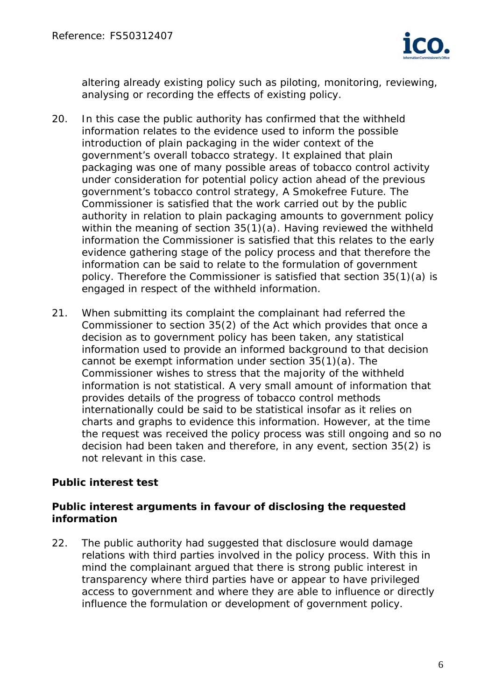

altering already existing policy such as piloting, monitoring, reviewing, analysing or recording the effects of existing policy.

- 20. In this case the public authority has confirmed that the withheld information relates to the evidence used to inform the possible introduction of plain packaging in the wider context of the government's overall tobacco strategy. It explained that plain packaging was one of many possible areas of tobacco control activity under consideration for potential policy action ahead of the previous government's tobacco control strategy, *A Smokefree Future.* The Commissioner is satisfied that the work carried out by the public authority in relation to plain packaging amounts to government policy within the meaning of section 35(1)(a). Having reviewed the withheld information the Commissioner is satisfied that this relates to the early evidence gathering stage of the policy process and that therefore the information can be said to relate to the formulation of government policy. Therefore the Commissioner is satisfied that section 35(1)(a) is engaged in respect of the withheld information.
- 21. When submitting its complaint the complainant had referred the Commissioner to section 35(2) of the Act which provides that once a decision as to government policy has been taken, any statistical information used to provide an informed background to that decision cannot be exempt information under section 35(1)(a). The Commissioner wishes to stress that the majority of the withheld information is not statistical. A very small amount of information that provides details of the progress of tobacco control methods internationally could be said to be statistical insofar as it relies on charts and graphs to evidence this information. However, at the time the request was received the policy process was still ongoing and so no decision had been taken and therefore, in any event, section 35(2) is not relevant in this case.

# **Public interest test**

## **Public interest arguments in favour of disclosing the requested information**

22. The public authority had suggested that disclosure would damage relations with third parties involved in the policy process. With this in mind the complainant argued that there is strong public interest in transparency where third parties have or appear to have privileged access to government and where they are able to influence or directly influence the formulation or development of government policy.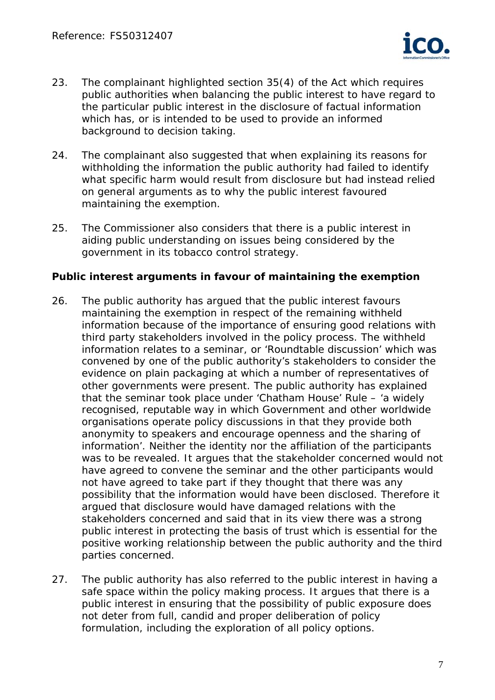

- 23. The complainant highlighted section 35(4) of the Act which requires public authorities when balancing the public interest to have regard to the particular public interest in the disclosure of factual information which has, or is intended to be used to provide an informed background to decision taking.
- 24. The complainant also suggested that when explaining its reasons for withholding the information the public authority had failed to identify what specific harm would result from disclosure but had instead relied on general arguments as to why the public interest favoured maintaining the exemption.
- 25. The Commissioner also considers that there is a public interest in aiding public understanding on issues being considered by the government in its tobacco control strategy.

#### **Public interest arguments in favour of maintaining the exemption**

- 26. The public authority has argued that the public interest favours maintaining the exemption in respect of the remaining withheld information because of the importance of ensuring good relations with third party stakeholders involved in the policy process. The withheld information relates to a seminar, or 'Roundtable discussion' which was convened by one of the public authority's stakeholders to consider the evidence on plain packaging at which a number of representatives of other governments were present. The public authority has explained that the seminar took place under 'Chatham House' Rule – 'a widely recognised, reputable way in which Government and other worldwide organisations operate policy discussions in that they provide both anonymity to speakers and encourage openness and the sharing of information'. Neither the identity nor the affiliation of the participants was to be revealed. It argues that the stakeholder concerned would not have agreed to convene the seminar and the other participants would not have agreed to take part if they thought that there was any possibility that the information would have been disclosed. Therefore it argued that disclosure would have damaged relations with the stakeholders concerned and said that in its view there was a strong public interest in protecting the basis of trust which is essential for the positive working relationship between the public authority and the third parties concerned.
- 27. The public authority has also referred to the public interest in having a safe space within the policy making process. It argues that there is a public interest in ensuring that the possibility of public exposure does not deter from full, candid and proper deliberation of policy formulation, including the exploration of all policy options.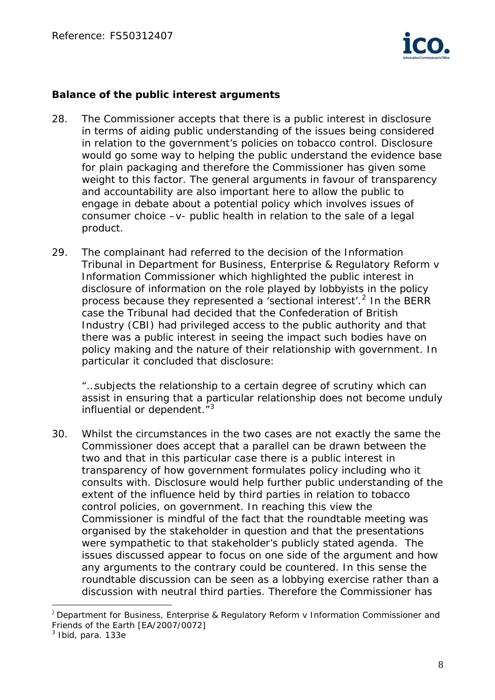

#### **Balance of the public interest arguments**

- 28. The Commissioner accepts that there is a public interest in disclosure in terms of aiding public understanding of the issues being considered in relation to the government's policies on tobacco control. Disclosure would go some way to helping the public understand the evidence base for plain packaging and therefore the Commissioner has given some weight to this factor. The general arguments in favour of transparency and accountability are also important here to allow the public to engage in debate about a potential policy which involves issues of consumer choice –v- public health in relation to the sale of a legal product.
- 29. The complainant had referred to the decision of the Information Tribunal in *Department for Business, Enterprise & Regulatory Reform v Information Commissioner* which highlighted the public interest in disclosure of information on the role played by lobbyists in the policy process because they represented a 'sectional interest'.<sup>[2](#page-7-0)</sup> In the BERR case the Tribunal had decided that the Confederation of British Industry (CBI) had privileged access to the public authority and that there was a public interest in seeing the impact such bodies have on policy making and the nature of their relationship with government. In particular it concluded that disclosure:

*"…subjects the relationship to a certain degree of scrutiny which can assist in ensuring that a particular relationship does not become unduly influential or dependent."*[3](#page-7-1)

30. Whilst the circumstances in the two cases are not exactly the same the Commissioner does accept that a parallel can be drawn between the two and that in this particular case there is a public interest in transparency of how government formulates policy including who it consults with. Disclosure would help further public understanding of the extent of the influence held by third parties in relation to tobacco control policies, on government. In reaching this view the Commissioner is mindful of the fact that the roundtable meeting was organised by the stakeholder in question and that the presentations were sympathetic to that stakeholder's publicly stated agenda. The issues discussed appear to focus on one side of the argument and how any arguments to the contrary could be countered. In this sense the roundtable discussion can be seen as a lobbying exercise rather than a discussion with neutral third parties. Therefore the Commissioner has

 $\overline{a}$ 

<span id="page-7-0"></span> $2$  Department for Business, Enterprise & Regulatory Reform y Information Commissioner and Friends of the Earth [EA/2007/0072]

<span id="page-7-1"></span><sup>3</sup> *Ibid,* para. 133e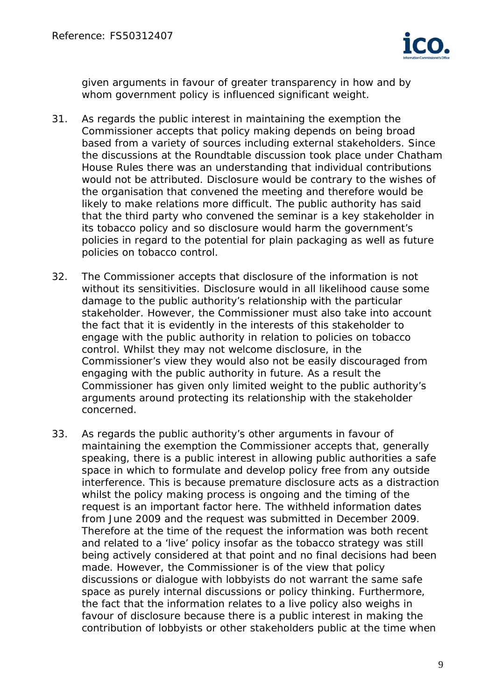

given arguments in favour of greater transparency in how and by whom government policy is influenced significant weight.

- 31. As regards the public interest in maintaining the exemption the Commissioner accepts that policy making depends on being broad based from a variety of sources including external stakeholders. Since the discussions at the Roundtable discussion took place under Chatham House Rules there was an understanding that individual contributions would not be attributed. Disclosure would be contrary to the wishes of the organisation that convened the meeting and therefore would be likely to make relations more difficult. The public authority has said that the third party who convened the seminar is a key stakeholder in its tobacco policy and so disclosure would harm the government's policies in regard to the potential for plain packaging as well as future policies on tobacco control.
- 32. The Commissioner accepts that disclosure of the information is not without its sensitivities. Disclosure would in all likelihood cause some damage to the public authority's relationship with the particular stakeholder. However, the Commissioner must also take into account the fact that it is evidently in the interests of this stakeholder to engage with the public authority in relation to policies on tobacco control. Whilst they may not welcome disclosure, in the Commissioner's view they would also not be easily discouraged from engaging with the public authority in future. As a result the Commissioner has given only limited weight to the public authority's arguments around protecting its relationship with the stakeholder concerned.
- 33. As regards the public authority's other arguments in favour of maintaining the exemption the Commissioner accepts that, generally speaking, there is a public interest in allowing public authorities a safe space in which to formulate and develop policy free from any outside interference. This is because premature disclosure acts as a distraction whilst the policy making process is ongoing and the timing of the request is an important factor here. The withheld information dates from June 2009 and the request was submitted in December 2009. Therefore at the time of the request the information was both recent and related to a 'live' policy insofar as the tobacco strategy was still being actively considered at that point and no final decisions had been made. However, the Commissioner is of the view that policy discussions or dialogue with lobbyists do not warrant the same safe space as purely internal discussions or policy thinking. Furthermore, the fact that the information relates to a live policy also weighs in favour of disclosure because there is a public interest in making the contribution of lobbyists or other stakeholders public at the time when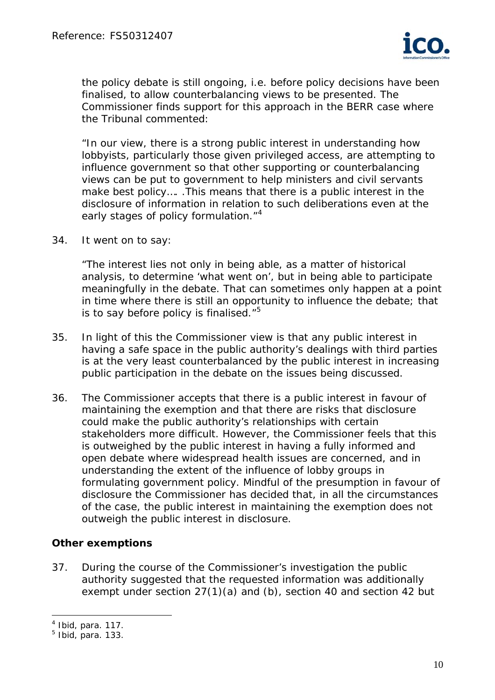

the policy debate is still ongoing, i.e. before policy decisions have been finalised, to allow counterbalancing views to be presented. The Commissioner finds support for this approach in the *BERR* case where the Tribunal commented:

*"In our view, there is a strong public interest in understanding how lobbyists, particularly those given privileged access, are attempting to influence government so that other supporting or counterbalancing views can be put to government to help ministers and civil servants make best policy…. .This means that there is a public interest in the disclosure of information in relation to such deliberations even at the early stages of policy formulation."*[4](#page-9-0)

34. It went on to say:

*"The interest lies not only in being able, as a matter of historical analysis, to determine 'what went on', but in being able to participate meaningfully in the debate. That can sometimes only happen at a point in time where there is still an opportunity to influence the debate; that is to say before policy is finalised."*[5](#page-9-1)

- 35. In light of this the Commissioner view is that any public interest in having a safe space in the public authority's dealings with third parties is at the very least counterbalanced by the public interest in increasing public participation in the debate on the issues being discussed.
- 36. The Commissioner accepts that there is a public interest in favour of maintaining the exemption and that there are risks that disclosure could make the public authority's relationships with certain stakeholders more difficult. However, the Commissioner feels that this is outweighed by the public interest in having a fully informed and open debate where widespread health issues are concerned, and in understanding the extent of the influence of lobby groups in formulating government policy. Mindful of the presumption in favour of disclosure the Commissioner has decided that, in all the circumstances of the case, the public interest in maintaining the exemption does not outweigh the public interest in disclosure.

## **Other exemptions**

37. During the course of the Commissioner's investigation the public authority suggested that the requested information was additionally exempt under section 27(1)(a) and (b), section 40 and section 42 but

 $\overline{a}$ 

<span id="page-9-0"></span><sup>4</sup> *Ibid*, para. 117.

<span id="page-9-1"></span><sup>5</sup> *Ibid*, para. 133.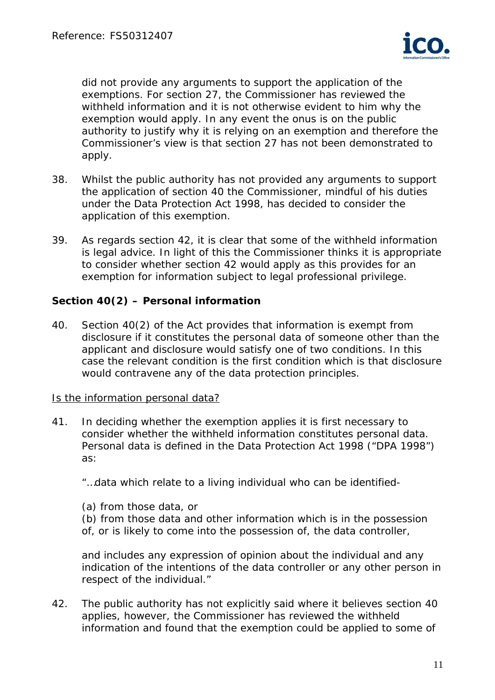

did not provide any arguments to support the application of the exemptions. For section 27, the Commissioner has reviewed the withheld information and it is not otherwise evident to him why the exemption would apply. In any event the onus is on the public authority to justify why it is relying on an exemption and therefore the Commissioner's view is that section 27 has not been demonstrated to apply.

- 38. Whilst the public authority has not provided any arguments to support the application of section 40 the Commissioner, mindful of his duties under the Data Protection Act 1998, has decided to consider the application of this exemption.
- 39. As regards section 42, it is clear that some of the withheld information is legal advice. In light of this the Commissioner thinks it is appropriate to consider whether section 42 would apply as this provides for an exemption for information subject to legal professional privilege.

## **Section 40(2) – Personal information**

40. Section 40(2) of the Act provides that information is exempt from disclosure if it constitutes the personal data of someone other than the applicant and disclosure would satisfy one of two conditions. In this case the relevant condition is the first condition which is that disclosure would contravene any of the data protection principles.

#### Is the information personal data?

41. In deciding whether the exemption applies it is first necessary to consider whether the withheld information constitutes personal data. Personal data is defined in the Data Protection Act 1998 ("DPA 1998") as:

"…data which relate to a living individual who can be identified-

(a) from those data, or

(b) from those data and other information which is in the possession of, or is likely to come into the possession of, the data controller,

and includes any expression of opinion about the individual and any indication of the intentions of the data controller or any other person in respect of the individual."

42. The public authority has not explicitly said where it believes section 40 applies, however, the Commissioner has reviewed the withheld information and found that the exemption could be applied to some of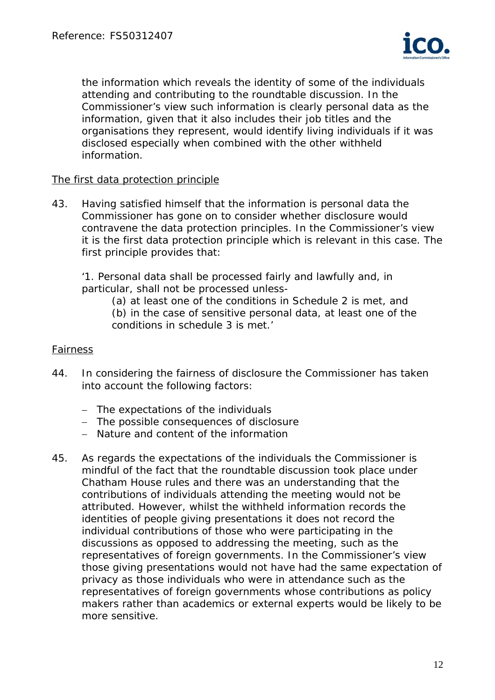

the information which reveals the identity of some of the individuals attending and contributing to the roundtable discussion. In the Commissioner's view such information is clearly personal data as the information, given that it also includes their job titles and the organisations they represent, would identify living individuals if it was disclosed especially when combined with the other withheld information.

#### The first data protection principle

43. Having satisfied himself that the information is personal data the Commissioner has gone on to consider whether disclosure would contravene the data protection principles. In the Commissioner's view it is the first data protection principle which is relevant in this case. The first principle provides that:

 '1. Personal data shall be processed fairly and lawfully and, in particular, shall not be processed unless-

(a) at least one of the conditions in Schedule 2 is met, and

 (b) in the case of sensitive personal data, at least one of the conditions in schedule 3 is met.'

#### Fairness

- 44. In considering the fairness of disclosure the Commissioner has taken into account the following factors:
	- The expectations of the individuals
	- The possible consequences of disclosure
	- Nature and content of the information
- 45. As regards the expectations of the individuals the Commissioner is mindful of the fact that the roundtable discussion took place under Chatham House rules and there was an understanding that the contributions of individuals attending the meeting would not be attributed. However, whilst the withheld information records the identities of people giving presentations it does not record the individual contributions of those who were participating in the discussions as opposed to addressing the meeting, such as the representatives of foreign governments. In the Commissioner's view those giving presentations would not have had the same expectation of privacy as those individuals who were in attendance such as the representatives of foreign governments whose contributions as policy makers rather than academics or external experts would be likely to be more sensitive.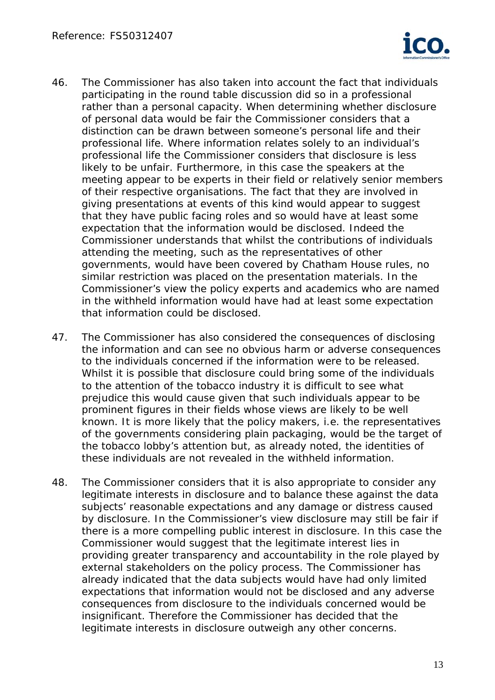

- 46. The Commissioner has also taken into account the fact that individuals participating in the round table discussion did so in a professional rather than a personal capacity. When determining whether disclosure of personal data would be fair the Commissioner considers that a distinction can be drawn between someone's personal life and their professional life. Where information relates solely to an individual's professional life the Commissioner considers that disclosure is less likely to be unfair. Furthermore, in this case the speakers at the meeting appear to be experts in their field or relatively senior members of their respective organisations. The fact that they are involved in giving presentations at events of this kind would appear to suggest that they have public facing roles and so would have at least some expectation that the information would be disclosed. Indeed the Commissioner understands that whilst the contributions of individuals attending the meeting, such as the representatives of other governments, would have been covered by Chatham House rules, no similar restriction was placed on the presentation materials. In the Commissioner's view the policy experts and academics who are named in the withheld information would have had at least some expectation that information could be disclosed.
- 47. The Commissioner has also considered the consequences of disclosing the information and can see no obvious harm or adverse consequences to the individuals concerned if the information were to be released. Whilst it is possible that disclosure could bring some of the individuals to the attention of the tobacco industry it is difficult to see what prejudice this would cause given that such individuals appear to be prominent figures in their fields whose views are likely to be well known. It is more likely that the policy makers, i.e. the representatives of the governments considering plain packaging, would be the target of the tobacco lobby's attention but, as already noted, the identities of these individuals are not revealed in the withheld information.
- 48. The Commissioner considers that it is also appropriate to consider any legitimate interests in disclosure and to balance these against the data subjects' reasonable expectations and any damage or distress caused by disclosure. In the Commissioner's view disclosure may still be fair if there is a more compelling public interest in disclosure. In this case the Commissioner would suggest that the legitimate interest lies in providing greater transparency and accountability in the role played by external stakeholders on the policy process. The Commissioner has already indicated that the data subjects would have had only limited expectations that information would not be disclosed and any adverse consequences from disclosure to the individuals concerned would be insignificant. Therefore the Commissioner has decided that the legitimate interests in disclosure outweigh any other concerns.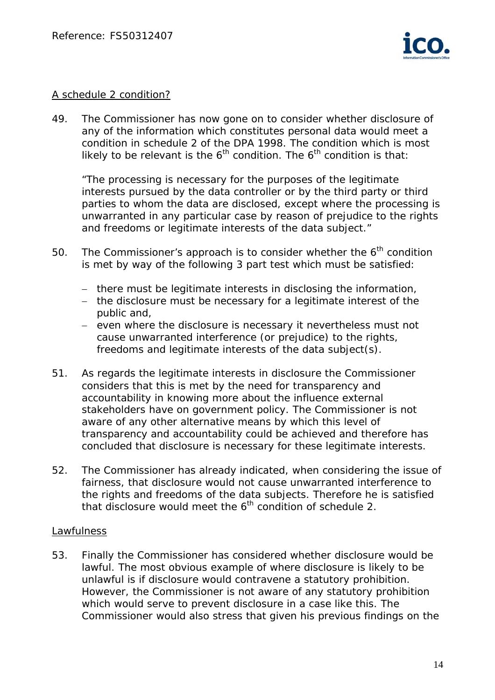

#### A schedule 2 condition?

49. The Commissioner has now gone on to consider whether disclosure of any of the information which constitutes personal data would meet a condition in schedule 2 of the DPA 1998. The condition which is most likely to be relevant is the  $6<sup>th</sup>$  condition. The  $6<sup>th</sup>$  condition is that:

 "The processing is necessary for the purposes of the legitimate interests pursued by the data controller or by the third party or third parties to whom the data are disclosed, except where the processing is unwarranted in any particular case by reason of prejudice to the rights and freedoms or legitimate interests of the data subject."

- 50. The Commissioner's approach is to consider whether the  $6<sup>th</sup>$  condition is met by way of the following 3 part test which must be satisfied:
	- there must be legitimate interests in disclosing the information,
	- the disclosure must be necessary for a legitimate interest of the public and,
	- even where the disclosure is necessary it nevertheless must not cause unwarranted interference (or prejudice) to the rights, freedoms and legitimate interests of the data subject(s).
- 51. As regards the legitimate interests in disclosure the Commissioner considers that this is met by the need for transparency and accountability in knowing more about the influence external stakeholders have on government policy. The Commissioner is not aware of any other alternative means by which this level of transparency and accountability could be achieved and therefore has concluded that disclosure is necessary for these legitimate interests.
- 52. The Commissioner has already indicated, when considering the issue of fairness, that disclosure would not cause unwarranted interference to the rights and freedoms of the data subjects. Therefore he is satisfied that disclosure would meet the  $6<sup>th</sup>$  condition of schedule 2.

#### Lawfulness

53. Finally the Commissioner has considered whether disclosure would be lawful. The most obvious example of where disclosure is likely to be unlawful is if disclosure would contravene a statutory prohibition. However, the Commissioner is not aware of any statutory prohibition which would serve to prevent disclosure in a case like this. The Commissioner would also stress that given his previous findings on the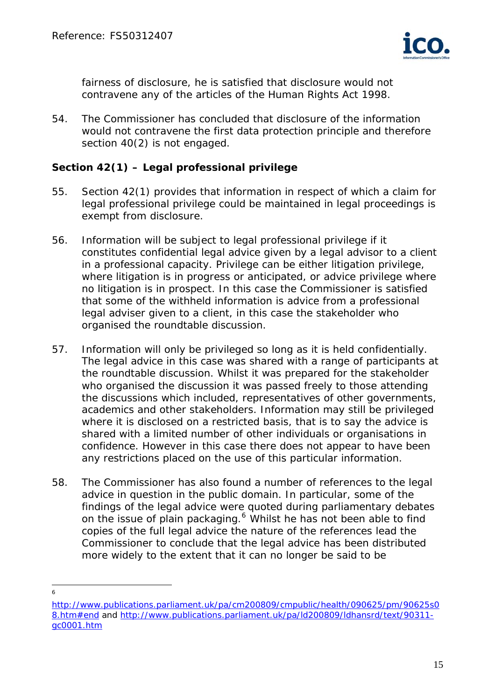

fairness of disclosure, he is satisfied that disclosure would not contravene any of the articles of the Human Rights Act 1998.

54. The Commissioner has concluded that disclosure of the information would not contravene the first data protection principle and therefore section 40(2) is not engaged.

## **Section 42(1) – Legal professional privilege**

- 55. Section 42(1) provides that information in respect of which a claim for legal professional privilege could be maintained in legal proceedings is exempt from disclosure.
- 56. Information will be subject to legal professional privilege if it constitutes confidential legal advice given by a legal advisor to a client in a professional capacity. Privilege can be either litigation privilege, where litigation is in progress or anticipated, or advice privilege where no litigation is in prospect. In this case the Commissioner is satisfied that some of the withheld information is advice from a professional legal adviser given to a client, in this case the stakeholder who organised the roundtable discussion.
- 57. Information will only be privileged so long as it is held confidentially. The legal advice in this case was shared with a range of participants at the roundtable discussion. Whilst it was prepared for the stakeholder who organised the discussion it was passed freely to those attending the discussions which included, representatives of other governments, academics and other stakeholders. Information may still be privileged where it is disclosed on a restricted basis, that is to say the advice is shared with a limited number of other individuals or organisations in confidence. However in this case there does not appear to have been any restrictions placed on the use of this particular information.
- 58. The Commissioner has also found a number of references to the legal advice in question in the public domain. In particular, some of the findings of the legal advice were quoted during parliamentary debates on the issue of plain packaging.<sup>[6](#page-14-0)</sup> Whilst he has not been able to find copies of the full legal advice the nature of the references lead the Commissioner to conclude that the legal advice has been distributed more widely to the extent that it can no longer be said to be

 $\overline{a}$ 6

<span id="page-14-0"></span>[http://www.publications.parliament.uk/pa/cm200809/cmpublic/health/090625/pm/90625s0](http://www.publications.parliament.uk/pa/cm200809/cmpublic/health/090625/pm/90625s08.htm#end) [8.htm#end](http://www.publications.parliament.uk/pa/cm200809/cmpublic/health/090625/pm/90625s08.htm#end) and [http://www.publications.parliament.uk/pa/ld200809/ldhansrd/text/90311](http://www.publications.parliament.uk/pa/ld200809/ldhansrd/text/90311-gc0001.htm) [gc0001.htm](http://www.publications.parliament.uk/pa/ld200809/ldhansrd/text/90311-gc0001.htm)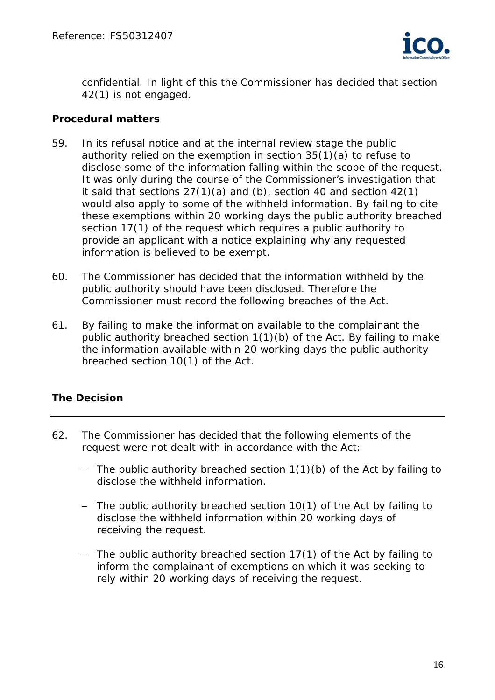

confidential. In light of this the Commissioner has decided that section 42(1) is not engaged.

## **Procedural matters**

- 59. In its refusal notice and at the internal review stage the public authority relied on the exemption in section 35(1)(a) to refuse to disclose some of the information falling within the scope of the request. It was only during the course of the Commissioner's investigation that it said that sections 27(1)(a) and (b), section 40 and section 42(1) would also apply to some of the withheld information. By failing to cite these exemptions within 20 working days the public authority breached section 17(1) of the request which requires a public authority to provide an applicant with a notice explaining why any requested information is believed to be exempt.
- 60. The Commissioner has decided that the information withheld by the public authority should have been disclosed. Therefore the Commissioner must record the following breaches of the Act.
- 61. By failing to make the information available to the complainant the public authority breached section 1(1)(b) of the Act. By failing to make the information available within 20 working days the public authority breached section 10(1) of the Act.

# **The Decision**

- 62. The Commissioner has decided that the following elements of the request were not dealt with in accordance with the Act:
	- The public authority breached section  $1(1)(b)$  of the Act by failing to disclose the withheld information.
	- The public authority breached section 10(1) of the Act by failing to disclose the withheld information within 20 working days of receiving the request.
	- The public authority breached section  $17(1)$  of the Act by failing to inform the complainant of exemptions on which it was seeking to rely within 20 working days of receiving the request.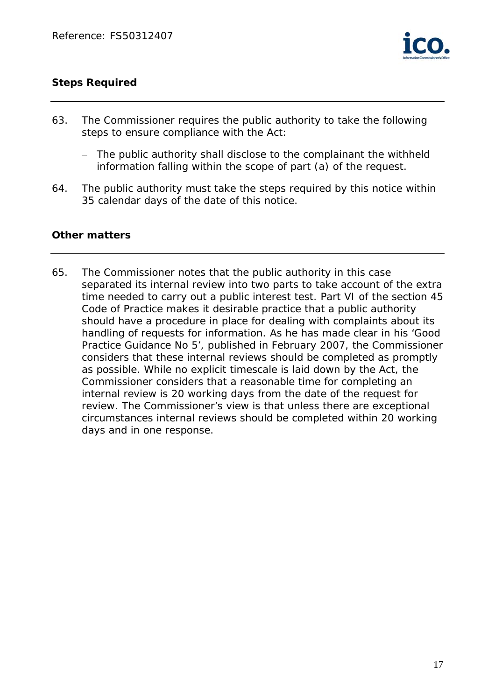

## **Steps Required**

- 63. The Commissioner requires the public authority to take the following steps to ensure compliance with the Act:
	- The public authority shall disclose to the complainant the withheld information falling within the scope of part (a) of the request.
- 64. The public authority must take the steps required by this notice within 35 calendar days of the date of this notice.

## **Other matters**

65. The Commissioner notes that the public authority in this case separated its internal review into two parts to take account of the extra time needed to carry out a public interest test. Part VI of the section 45 Code of Practice makes it desirable practice that a public authority should have a procedure in place for dealing with complaints about its handling of requests for information. As he has made clear in his *'Good Practice Guidance No 5'*, published in February 2007, the Commissioner considers that these internal reviews should be completed as promptly as possible. While no explicit timescale is laid down by the Act, the Commissioner considers that a reasonable time for completing an internal review is 20 working days from the date of the request for review. The Commissioner's view is that unless there are exceptional circumstances internal reviews should be completed within 20 working days and in one response.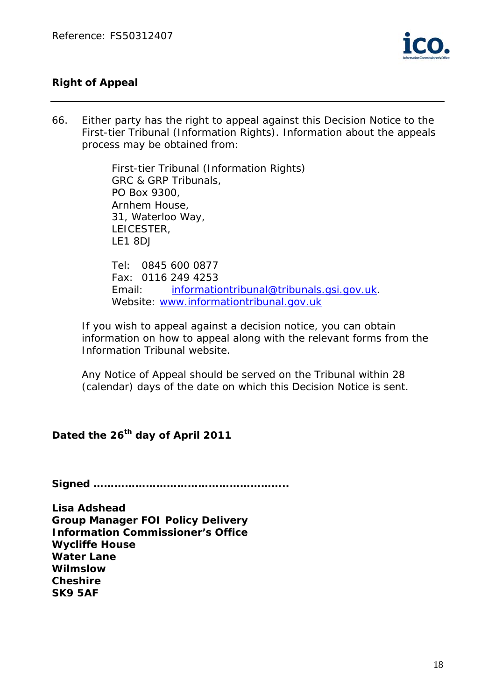

# **Right of Appeal**

66. Either party has the right to appeal against this Decision Notice to the First-tier Tribunal (Information Rights). Information about the appeals process may be obtained from:

> First-tier Tribunal (Information Rights) GRC & GRP Tribunals, PO Box 9300, Arnhem House, 31, Waterloo Way, LEICESTER, LE1 8DJ

Tel: 0845 600 0877 Fax: 0116 249 4253 Email: [informationtribunal@tribunals.gsi.gov.uk](mailto:informationtribunal@tribunals.gsi.gov.uk). Website: [www.informationtribunal.gov.uk](http://www.informationtribunal.gov.uk/)

If you wish to appeal against a decision notice, you can obtain information on how to appeal along with the relevant forms from the Information Tribunal website.

Any Notice of Appeal should be served on the Tribunal within 28 (calendar) days of the date on which this Decision Notice is sent.

# Dated the 26<sup>th</sup> day of April 2011

**Signed ………………………………………………..** 

**Lisa Adshead Group Manager FOI Policy Delivery Information Commissioner's Office Wycliffe House Water Lane Wilmslow Cheshire SK9 5AF**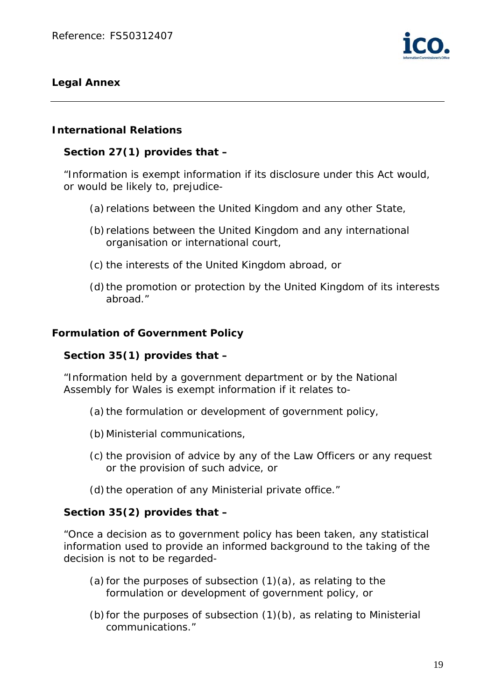

## **Legal Annex**

## **International Relations**

## **Section 27(1) provides that –**

"Information is exempt information if its disclosure under this Act would, or would be likely to, prejudice-

- (a) relations between the United Kingdom and any other State,
- (b) relations between the United Kingdom and any international organisation or international court,
- (c) the interests of the United Kingdom abroad, or
- (d) the promotion or protection by the United Kingdom of its interests abroad."

## **Formulation of Government Policy**

## **Section 35(1) provides that –**

"Information held by a government department or by the National Assembly for Wales is exempt information if it relates to-

- (a) the formulation or development of government policy,
- (b)Ministerial communications,
- (c) the provision of advice by any of the Law Officers or any request or the provision of such advice, or
- (d) the operation of any Ministerial private office."

## **Section 35(2) provides that –**

"Once a decision as to government policy has been taken, any statistical information used to provide an informed background to the taking of the decision is not to be regarded-

- (a) for the purposes of subsection  $(1)(a)$ , as relating to the formulation or development of government policy, or
- (b) for the purposes of subsection (1)(b), as relating to Ministerial communications."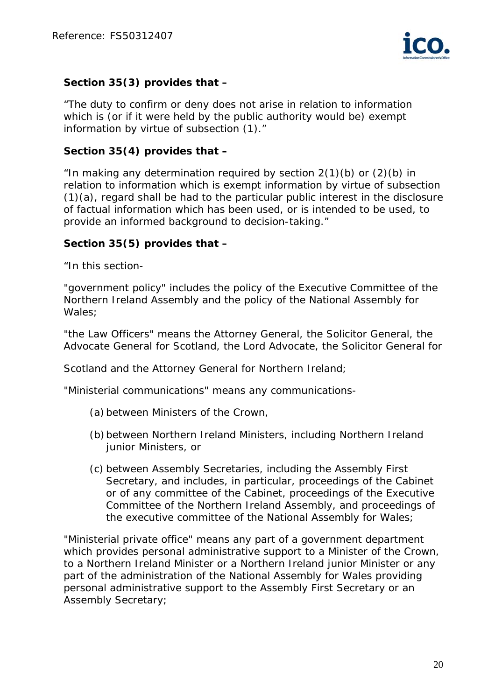

# **Section 35(3) provides that –**

"The duty to confirm or deny does not arise in relation to information which is (or if it were held by the public authority would be) exempt information by virtue of subsection (1)."

## **Section 35(4) provides that –**

"In making any determination required by section  $2(1)(b)$  or  $(2)(b)$  in relation to information which is exempt information by virtue of subsection (1)(a), regard shall be had to the particular public interest in the disclosure of factual information which has been used, or is intended to be used, to provide an informed background to decision-taking."

# **Section 35(5) provides that –**

"In this section-

"government policy" includes the policy of the Executive Committee of the Northern Ireland Assembly and the policy of the National Assembly for Wales;

"the Law Officers" means the Attorney General, the Solicitor General, the Advocate General for Scotland, the Lord Advocate, the Solicitor General for

Scotland and the Attorney General for Northern Ireland;

"Ministerial communications" means any communications-

- (a) between Ministers of the Crown,
- (b) between Northern Ireland Ministers, including Northern Ireland junior Ministers, or
- (c) between Assembly Secretaries, including the Assembly First Secretary, and includes, in particular, proceedings of the Cabinet or of any committee of the Cabinet, proceedings of the Executive Committee of the Northern Ireland Assembly, and proceedings of the executive committee of the National Assembly for Wales;

"Ministerial private office" means any part of a government department which provides personal administrative support to a Minister of the Crown, to a Northern Ireland Minister or a Northern Ireland junior Minister or any part of the administration of the National Assembly for Wales providing personal administrative support to the Assembly First Secretary or an Assembly Secretary;